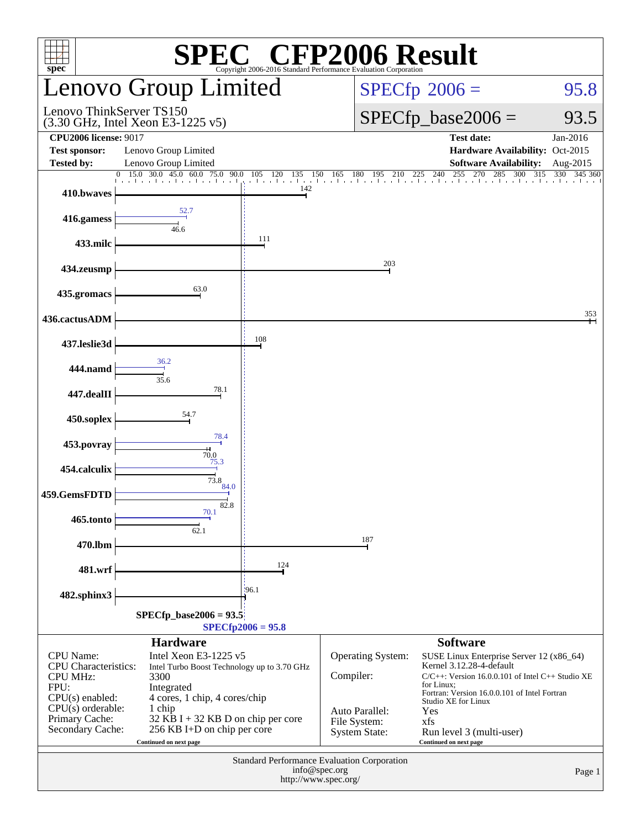| <b>EC<sup>®</sup> CFP2006 Result</b><br>SPI<br>spec <sup>®</sup><br>Copyright 2006-2016 Standard Performance Evaluation Corporatio |                                                                                                                                                                               |                                                        |                                                  |                                                                                                                                                                                                                           |                       |  |  |
|------------------------------------------------------------------------------------------------------------------------------------|-------------------------------------------------------------------------------------------------------------------------------------------------------------------------------|--------------------------------------------------------|--------------------------------------------------|---------------------------------------------------------------------------------------------------------------------------------------------------------------------------------------------------------------------------|-----------------------|--|--|
|                                                                                                                                    | <b>Lenovo Group Limited</b>                                                                                                                                                   |                                                        |                                                  | $SPECfp^{\circ}2006 =$<br>95.8                                                                                                                                                                                            |                       |  |  |
| Lenovo ThinkServer TS150                                                                                                           | (3.30 GHz, Intel Xeon E3-1225 v5)                                                                                                                                             |                                                        |                                                  | $SPECfp\_base2006 =$<br>93.5                                                                                                                                                                                              |                       |  |  |
| <b>CPU2006 license: 9017</b><br><b>Test sponsor:</b><br><b>Tested by:</b>                                                          | Lenovo Group Limited<br>Lenovo Group Limited                                                                                                                                  |                                                        |                                                  | <b>Test date:</b><br>Hardware Availability: Oct-2015<br><b>Software Availability:</b>                                                                                                                                     | Jan-2016<br>Aug-2015  |  |  |
| 410.bwaves                                                                                                                         | $\begin{array}{cccccc}\n0 & 15.0 & 30.0 & 45.0 & 60.0 & 75.0 & 90. \\ \hline\n\end{array}$<br>90.0                                                                            | 120<br>135<br>105<br>150<br>and a search and an<br>142 | 165                                              | 5 180 195 210 225 240 255 270 285 300 31                                                                                                                                                                                  | 330<br>345 360<br>315 |  |  |
| 416.gamess                                                                                                                         | 52.7<br>46.6                                                                                                                                                                  |                                                        |                                                  |                                                                                                                                                                                                                           |                       |  |  |
| 433.milc                                                                                                                           |                                                                                                                                                                               | 111                                                    |                                                  |                                                                                                                                                                                                                           |                       |  |  |
| 434.zeusmp                                                                                                                         |                                                                                                                                                                               |                                                        | 203                                              |                                                                                                                                                                                                                           |                       |  |  |
| 435.gromacs                                                                                                                        | 63.0                                                                                                                                                                          |                                                        |                                                  |                                                                                                                                                                                                                           | 353                   |  |  |
| 436.cactusADM                                                                                                                      |                                                                                                                                                                               | 108                                                    |                                                  |                                                                                                                                                                                                                           |                       |  |  |
| 437.leslie3d<br>444.namd                                                                                                           | 36.2                                                                                                                                                                          |                                                        |                                                  |                                                                                                                                                                                                                           |                       |  |  |
| 447.dealII                                                                                                                         | 35.6<br>78.1                                                                                                                                                                  |                                                        |                                                  |                                                                                                                                                                                                                           |                       |  |  |
| 450.soplex                                                                                                                         | 54.7                                                                                                                                                                          |                                                        |                                                  |                                                                                                                                                                                                                           |                       |  |  |
| 453.povray                                                                                                                         | 78.4<br>70.0                                                                                                                                                                  |                                                        |                                                  |                                                                                                                                                                                                                           |                       |  |  |
| 454.calculix                                                                                                                       | 75.3<br>73.8                                                                                                                                                                  |                                                        |                                                  |                                                                                                                                                                                                                           |                       |  |  |
| 459.GemsFDTD                                                                                                                       | 84.0<br>82.8                                                                                                                                                                  |                                                        |                                                  |                                                                                                                                                                                                                           |                       |  |  |
| 465.tonto                                                                                                                          | 70.1<br>62.1                                                                                                                                                                  |                                                        |                                                  |                                                                                                                                                                                                                           |                       |  |  |
| 470.lbm                                                                                                                            |                                                                                                                                                                               |                                                        | 187                                              |                                                                                                                                                                                                                           |                       |  |  |
| 481.wrf                                                                                                                            |                                                                                                                                                                               | 124<br>196.1                                           |                                                  |                                                                                                                                                                                                                           |                       |  |  |
| 482.sphinx3                                                                                                                        | $SPECfp\_base2006 = 93.5$                                                                                                                                                     | $SPECfp2006 = 95.8$                                    |                                                  |                                                                                                                                                                                                                           |                       |  |  |
|                                                                                                                                    | <b>Hardware</b>                                                                                                                                                               |                                                        |                                                  | <b>Software</b>                                                                                                                                                                                                           |                       |  |  |
| CPU Name:<br><b>CPU</b> Characteristics:<br><b>CPU MHz:</b><br>FPU:<br>$CPU(s)$ enabled:<br>$CPU(s)$ orderable:<br>Primary Cache:  | Intel Xeon E3-1225 v5<br>Intel Turbo Boost Technology up to 3.70 GHz<br>3300<br>Integrated<br>4 cores, 1 chip, 4 cores/chip<br>1 chip<br>$32$ KB I + 32 KB D on chip per core |                                                        | Operating System:<br>Compiler:<br>Auto Parallel: | SUSE Linux Enterprise Server 12 (x86_64)<br>Kernel 3.12.28-4-default<br>$C/C++$ : Version 16.0.0.101 of Intel $C++$ Studio XE<br>for Linux;<br>Fortran: Version 16.0.0.101 of Intel Fortran<br>Studio XE for Linux<br>Yes |                       |  |  |
| Secondary Cache:                                                                                                                   | 256 KB I+D on chip per core<br>Continued on next page                                                                                                                         |                                                        | File System:<br><b>System State:</b>             | xfs<br>Run level 3 (multi-user)<br>Continued on next page                                                                                                                                                                 |                       |  |  |
| Standard Performance Evaluation Corporation<br>info@spec.org<br>http://www.spec.org/                                               |                                                                                                                                                                               |                                                        |                                                  |                                                                                                                                                                                                                           | Page 1                |  |  |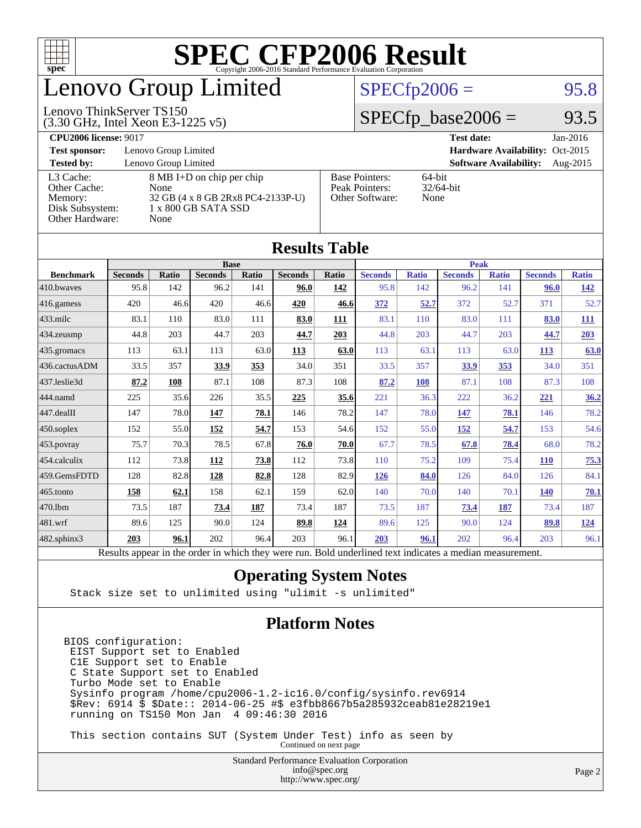

## enovo Group Limited

#### $SPECTp2006 =$  95.8

#### (3.30 GHz, Intel Xeon E3-1225 v5) Lenovo ThinkServer TS150

 $SPECfp\_base2006 = 93.5$ 

#### **[CPU2006 license:](http://www.spec.org/auto/cpu2006/Docs/result-fields.html#CPU2006license)** 9017 **[Test date:](http://www.spec.org/auto/cpu2006/Docs/result-fields.html#Testdate)** Jan-2016 **[Test sponsor:](http://www.spec.org/auto/cpu2006/Docs/result-fields.html#Testsponsor)** Lenovo Group Limited **[Hardware Availability:](http://www.spec.org/auto/cpu2006/Docs/result-fields.html#HardwareAvailability)** Oct-2015 **[Tested by:](http://www.spec.org/auto/cpu2006/Docs/result-fields.html#Testedby)** Lenovo Group Limited **[Software Availability:](http://www.spec.org/auto/cpu2006/Docs/result-fields.html#SoftwareAvailability)** Aug-2015 [L3 Cache:](http://www.spec.org/auto/cpu2006/Docs/result-fields.html#L3Cache) 8 MB I+D on chip per chip<br>Other Cache: None [Other Cache:](http://www.spec.org/auto/cpu2006/Docs/result-fields.html#OtherCache) [Memory:](http://www.spec.org/auto/cpu2006/Docs/result-fields.html#Memory) 32 GB (4 x 8 GB 2Rx8 PC4-2133P-U) [Disk Subsystem:](http://www.spec.org/auto/cpu2006/Docs/result-fields.html#DiskSubsystem) 1 x 800 GB SATA SSD [Other Hardware:](http://www.spec.org/auto/cpu2006/Docs/result-fields.html#OtherHardware) None [Base Pointers:](http://www.spec.org/auto/cpu2006/Docs/result-fields.html#BasePointers) 64-bit<br>Peak Pointers: 32/64-bit [Peak Pointers:](http://www.spec.org/auto/cpu2006/Docs/result-fields.html#PeakPointers) [Other Software:](http://www.spec.org/auto/cpu2006/Docs/result-fields.html#OtherSoftware) None

| <b>Results Table</b>   |                                                                                                          |       |                |       |                |             |                |              |                |              |                |              |
|------------------------|----------------------------------------------------------------------------------------------------------|-------|----------------|-------|----------------|-------------|----------------|--------------|----------------|--------------|----------------|--------------|
|                        | <b>Base</b>                                                                                              |       |                |       |                | <b>Peak</b> |                |              |                |              |                |              |
| <b>Benchmark</b>       | <b>Seconds</b>                                                                                           | Ratio | <b>Seconds</b> | Ratio | <b>Seconds</b> | Ratio       | <b>Seconds</b> | <b>Ratio</b> | <b>Seconds</b> | <b>Ratio</b> | <b>Seconds</b> | <b>Ratio</b> |
| 410.bwayes             | 95.8                                                                                                     | 142   | 96.2           | 141   | 96.0           | 142         | 95.8           | 142          | 96.2           | 141          | 96.0           | <u>142</u>   |
| $416$ .gamess          | 420                                                                                                      | 46.6  | 420            | 46.6  | 420            | 46.6        | 372            | 52.7         | 372            | 52.7         | 371            | 52.7         |
| $ 433 \text{.}$ milc   | 83.1                                                                                                     | 110   | 83.0           | 111   | 83.0           | 111         | 83.1           | 110          | 83.0           | 111          | 83.0           | 111          |
| 434.zeusmp             | 44.8                                                                                                     | 203   | 44.7           | 203   | 44.7           | 203         | 44.8           | 203          | 44.7           | 203          | 44.7           | 203          |
| $435.$ gromacs         | 113                                                                                                      | 63.1  | 113            | 63.0  | 113            | 63.0        | 113            | 63.1         | 113            | 63.0         | 113            | 63.0         |
| 436.cactusADM          | 33.5                                                                                                     | 357   | 33.9           | 353   | 34.0           | 351         | 33.5           | 357          | 33.9           | 353          | 34.0           | 351          |
| 437.leslie3d           | 87.2                                                                                                     | 108   | 87.1           | 108   | 87.3           | 108         | 87.2           | 108          | 87.1           | 108          | 87.3           | 108          |
| 444.namd               | 225                                                                                                      | 35.6  | 226            | 35.5  | 225            | 35.6        | 221            | 36.3         | 222            | 36.2         | 221            | 36.2         |
| $ 447 \text{.}$ dealII | 147                                                                                                      | 78.0  | 147            | 78.1  | 146            | 78.2        | 147            | 78.0         | 147            | 78.1         | 146            | 78.2         |
| $450$ .soplex          | 152                                                                                                      | 55.0  | 152            | 54.7  | 153            | 54.6        | 152            | 55.0         | 152            | 54.7         | 153            | 54.6         |
| $453$ .povray          | 75.7                                                                                                     | 70.3  | 78.5           | 67.8  | 76.0           | 70.0        | 67.7           | 78.5         | 67.8           | 78.4         | 68.0           | 78.2         |
| $454$ .calculix        | 112                                                                                                      | 73.8  | <b>112</b>     | 73.8  | 112            | 73.8        | 110            | 75.2         | 109            | 75.4         | <b>110</b>     | 75.3         |
| 459.GemsFDTD           | 128                                                                                                      | 82.8  | 128            | 82.8  | 128            | 82.9        | 126            | 84.0         | 126            | 84.0         | 126            | 84.1         |
| $465$ .tonto           | 158                                                                                                      | 62.1  | 158            | 62.1  | 159            | 62.0        | 140            | 70.0         | 140            | 70.1         | <b>140</b>     | 70.1         |
| 470.1bm                | 73.5                                                                                                     | 187   | <u>73.4</u>    | 187   | 73.4           | 187         | 73.5           | 187          | 73.4           | <u>187</u>   | 73.4           | 187          |
| $ 481$ .wrf            | 89.6                                                                                                     | 125   | 90.0           | 124   | 89.8           | 124         | 89.6           | 125          | 90.0           | 124          | 89.8           | <u>124</u>   |
| $482$ .sphinx $3$      | 203                                                                                                      | 96.1  | 202            | 96.4  | 203            | 96.1        | 203            | 96.1         | 202            | 96.4         | 203            | 96.1         |
|                        | Results appear in the order in which they were run. Bold underlined text indicates a median measurement. |       |                |       |                |             |                |              |                |              |                |              |

#### **[Operating System Notes](http://www.spec.org/auto/cpu2006/Docs/result-fields.html#OperatingSystemNotes)**

Stack size set to unlimited using "ulimit -s unlimited"

#### **[Platform Notes](http://www.spec.org/auto/cpu2006/Docs/result-fields.html#PlatformNotes)**

BIOS configuration: EIST Support set to Enabled C1E Support set to Enable C State Support set to Enabled Turbo Mode set to Enable Sysinfo program /home/cpu2006-1.2-ic16.0/config/sysinfo.rev6914 \$Rev: 6914 \$ \$Date:: 2014-06-25 #\$ e3fbb8667b5a285932ceab81e28219e1 running on TS150 Mon Jan 4 09:46:30 2016

 This section contains SUT (System Under Test) info as seen by Continued on next page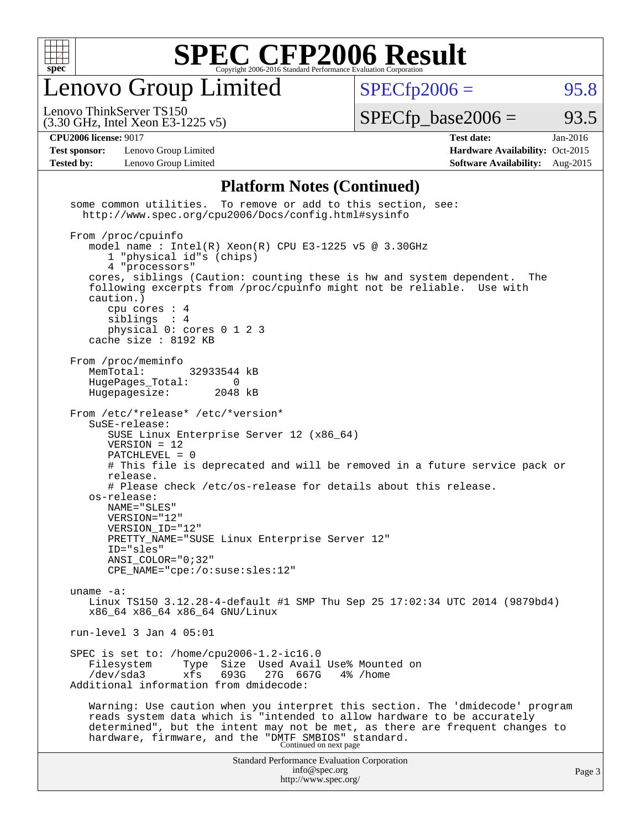

Lenovo Group Limited

 $SPECTp2006 =$  95.8

(3.30 GHz, Intel Xeon E3-1225 v5) Lenovo ThinkServer TS150

 $SPECTp\_base2006 = 93.5$ 

**[Test sponsor:](http://www.spec.org/auto/cpu2006/Docs/result-fields.html#Testsponsor)** Lenovo Group Limited **[Hardware Availability:](http://www.spec.org/auto/cpu2006/Docs/result-fields.html#HardwareAvailability)** Oct-2015

**[CPU2006 license:](http://www.spec.org/auto/cpu2006/Docs/result-fields.html#CPU2006license)** 9017 **[Test date:](http://www.spec.org/auto/cpu2006/Docs/result-fields.html#Testdate)** Jan-2016 **[Tested by:](http://www.spec.org/auto/cpu2006/Docs/result-fields.html#Testedby)** Lenovo Group Limited **[Software Availability:](http://www.spec.org/auto/cpu2006/Docs/result-fields.html#SoftwareAvailability)** Aug-2015

#### **[Platform Notes \(Continued\)](http://www.spec.org/auto/cpu2006/Docs/result-fields.html#PlatformNotes)**

Standard Performance Evaluation Corporation [info@spec.org](mailto:info@spec.org) <http://www.spec.org/> Page 3 some common utilities. To remove or add to this section, see: <http://www.spec.org/cpu2006/Docs/config.html#sysinfo> From /proc/cpuinfo model name:  $Intel(R)$  Xeon $(R)$  CPU E3-1225 v5 @ 3.30GHz 1 "physical id"s (chips) 4 "processors" cores, siblings (Caution: counting these is hw and system dependent. The following excerpts from /proc/cpuinfo might not be reliable. Use with caution.) cpu cores : 4 siblings : 4 physical 0: cores 0 1 2 3 cache size : 8192 KB From /proc/meminfo<br>MemTotal: 32933544 kB HugePages\_Total: 0<br>Hugepagesize: 2048 kB Hugepagesize: From /etc/\*release\* /etc/\*version\* SuSE-release: SUSE Linux Enterprise Server 12 (x86\_64) VERSION = 12 PATCHLEVEL = 0 # This file is deprecated and will be removed in a future service pack or release. # Please check /etc/os-release for details about this release. os-release: NAME="SLES" VERSION="12" VERSION\_ID="12" PRETTY\_NAME="SUSE Linux Enterprise Server 12" ID="sles" ANSI\_COLOR="0;32" CPE\_NAME="cpe:/o:suse:sles:12" uname -a: Linux TS150 3.12.28-4-default #1 SMP Thu Sep 25 17:02:34 UTC 2014 (9879bd4) x86\_64 x86\_64 x86\_64 GNU/Linux run-level 3 Jan 4 05:01 SPEC is set to: /home/cpu2006-1.2-ic16.0 Filesystem Type Size Used Avail Use% Mounted on<br>
/dev/sda3 xfs 693G 27G 667G 4% /home /dev/sda3 xfs 693G 27G 667G 4% /home Additional information from dmidecode: Warning: Use caution when you interpret this section. The 'dmidecode' program reads system data which is "intended to allow hardware to be accurately determined", but the intent may not be met, as there are frequent changes to hardware, firmware, and the "DMTF SMBIOS" standard.<br>Continued on next page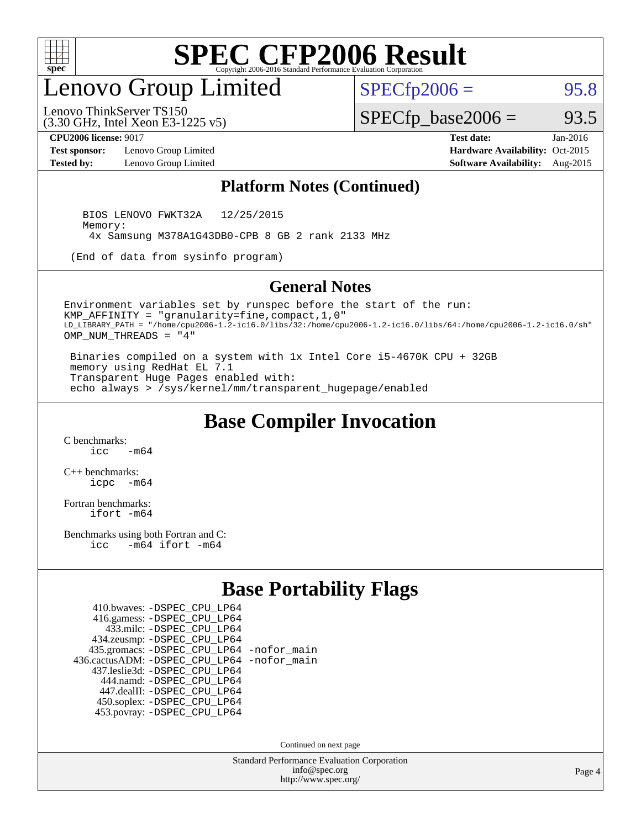

## enovo Group Limited

 $SPECTp2006 =$  95.8

(3.30 GHz, Intel Xeon E3-1225 v5) Lenovo ThinkServer TS150

**[Test sponsor:](http://www.spec.org/auto/cpu2006/Docs/result-fields.html#Testsponsor)** Lenovo Group Limited **[Hardware Availability:](http://www.spec.org/auto/cpu2006/Docs/result-fields.html#HardwareAvailability)** Oct-2015 **[Tested by:](http://www.spec.org/auto/cpu2006/Docs/result-fields.html#Testedby)** Lenovo Group Limited **[Software Availability:](http://www.spec.org/auto/cpu2006/Docs/result-fields.html#SoftwareAvailability)** Aug-2015

 $SPECfp\_base2006 = 93.5$ **[CPU2006 license:](http://www.spec.org/auto/cpu2006/Docs/result-fields.html#CPU2006license)** 9017 **[Test date:](http://www.spec.org/auto/cpu2006/Docs/result-fields.html#Testdate)** Jan-2016

#### **[Platform Notes \(Continued\)](http://www.spec.org/auto/cpu2006/Docs/result-fields.html#PlatformNotes)**

 BIOS LENOVO FWKT32A 12/25/2015 Memory: 4x Samsung M378A1G43DB0-CPB 8 GB 2 rank 2133 MHz

(End of data from sysinfo program)

#### **[General Notes](http://www.spec.org/auto/cpu2006/Docs/result-fields.html#GeneralNotes)**

Environment variables set by runspec before the start of the run: KMP\_AFFINITY = "granularity=fine,compact,1,0" LD\_LIBRARY\_PATH = "/home/cpu2006-1.2-ic16.0/libs/32:/home/cpu2006-1.2-ic16.0/libs/64:/home/cpu2006-1.2-ic16.0/sh" OMP\_NUM\_THREADS = "4"

 Binaries compiled on a system with 1x Intel Core i5-4670K CPU + 32GB memory using RedHat EL 7.1 Transparent Huge Pages enabled with: echo always > /sys/kernel/mm/transparent\_hugepage/enabled

#### **[Base Compiler Invocation](http://www.spec.org/auto/cpu2006/Docs/result-fields.html#BaseCompilerInvocation)**

[C benchmarks](http://www.spec.org/auto/cpu2006/Docs/result-fields.html#Cbenchmarks):  $\frac{1}{2}$  cc  $-$  m64

[C++ benchmarks:](http://www.spec.org/auto/cpu2006/Docs/result-fields.html#CXXbenchmarks) [icpc -m64](http://www.spec.org/cpu2006/results/res2016q1/cpu2006-20160125-38869.flags.html#user_CXXbase_intel_icpc_64bit_bedb90c1146cab66620883ef4f41a67e)

[Fortran benchmarks](http://www.spec.org/auto/cpu2006/Docs/result-fields.html#Fortranbenchmarks): [ifort -m64](http://www.spec.org/cpu2006/results/res2016q1/cpu2006-20160125-38869.flags.html#user_FCbase_intel_ifort_64bit_ee9d0fb25645d0210d97eb0527dcc06e)

[Benchmarks using both Fortran and C](http://www.spec.org/auto/cpu2006/Docs/result-fields.html#BenchmarksusingbothFortranandC): [icc -m64](http://www.spec.org/cpu2006/results/res2016q1/cpu2006-20160125-38869.flags.html#user_CC_FCbase_intel_icc_64bit_0b7121f5ab7cfabee23d88897260401c) [ifort -m64](http://www.spec.org/cpu2006/results/res2016q1/cpu2006-20160125-38869.flags.html#user_CC_FCbase_intel_ifort_64bit_ee9d0fb25645d0210d97eb0527dcc06e)

#### **[Base Portability Flags](http://www.spec.org/auto/cpu2006/Docs/result-fields.html#BasePortabilityFlags)**

| 410.bwaves: - DSPEC CPU LP64                 |  |
|----------------------------------------------|--|
| 416.gamess: -DSPEC_CPU_LP64                  |  |
| 433.milc: - DSPEC_CPU LP64                   |  |
| 434.zeusmp: -DSPEC_CPU_LP64                  |  |
| 435.gromacs: -DSPEC_CPU_LP64 -nofor_main     |  |
| 436.cactusADM: - DSPEC CPU LP64 - nofor main |  |
| 437.leslie3d: -DSPEC CPU LP64                |  |
| 444.namd: - DSPEC_CPU_LP64                   |  |
| 447.dealII: -DSPEC CPU LP64                  |  |
| 450.soplex: -DSPEC_CPU_LP64                  |  |
| 453.povray: -DSPEC CPU LP64                  |  |

Continued on next page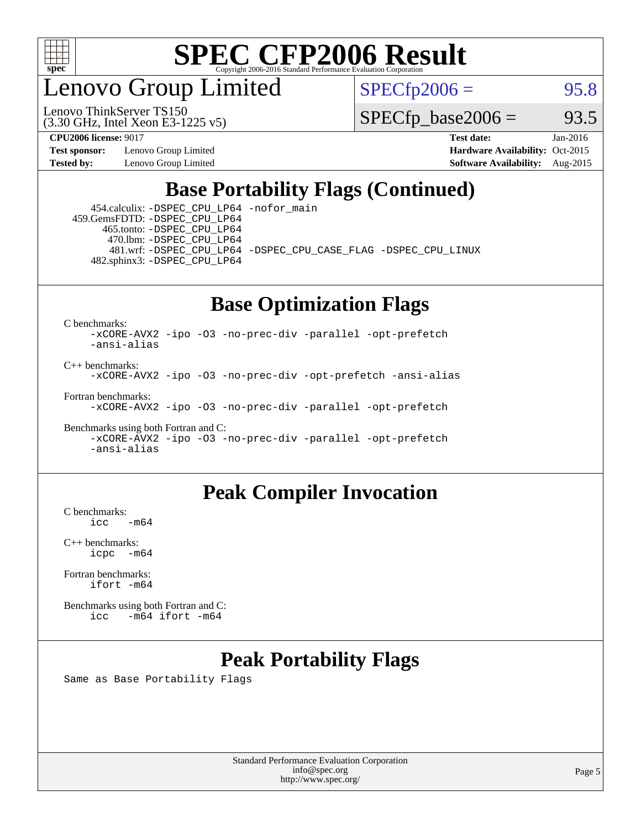

enovo Group Limited

Lenovo ThinkServer TS150

 $SPECTp2006 =$  95.8

 $SPECTp\_base2006 = 93.5$ 

**[Test sponsor:](http://www.spec.org/auto/cpu2006/Docs/result-fields.html#Testsponsor)** Lenovo Group Limited **[Hardware Availability:](http://www.spec.org/auto/cpu2006/Docs/result-fields.html#HardwareAvailability)** Oct-2015

(3.30 GHz, Intel Xeon E3-1225 v5)

**[CPU2006 license:](http://www.spec.org/auto/cpu2006/Docs/result-fields.html#CPU2006license)** 9017 **[Test date:](http://www.spec.org/auto/cpu2006/Docs/result-fields.html#Testdate)** Jan-2016 **[Tested by:](http://www.spec.org/auto/cpu2006/Docs/result-fields.html#Testedby)** Lenovo Group Limited **[Software Availability:](http://www.spec.org/auto/cpu2006/Docs/result-fields.html#SoftwareAvailability)** Aug-2015

#### **[Base Portability Flags \(Continued\)](http://www.spec.org/auto/cpu2006/Docs/result-fields.html#BasePortabilityFlags)**

 454.calculix: [-DSPEC\\_CPU\\_LP64](http://www.spec.org/cpu2006/results/res2016q1/cpu2006-20160125-38869.flags.html#suite_basePORTABILITY454_calculix_DSPEC_CPU_LP64) [-nofor\\_main](http://www.spec.org/cpu2006/results/res2016q1/cpu2006-20160125-38869.flags.html#user_baseLDPORTABILITY454_calculix_f-nofor_main) 459.GemsFDTD: [-DSPEC\\_CPU\\_LP64](http://www.spec.org/cpu2006/results/res2016q1/cpu2006-20160125-38869.flags.html#suite_basePORTABILITY459_GemsFDTD_DSPEC_CPU_LP64) 465.tonto: [-DSPEC\\_CPU\\_LP64](http://www.spec.org/cpu2006/results/res2016q1/cpu2006-20160125-38869.flags.html#suite_basePORTABILITY465_tonto_DSPEC_CPU_LP64) 470.lbm: [-DSPEC\\_CPU\\_LP64](http://www.spec.org/cpu2006/results/res2016q1/cpu2006-20160125-38869.flags.html#suite_basePORTABILITY470_lbm_DSPEC_CPU_LP64) 481.wrf: [-DSPEC\\_CPU\\_LP64](http://www.spec.org/cpu2006/results/res2016q1/cpu2006-20160125-38869.flags.html#suite_basePORTABILITY481_wrf_DSPEC_CPU_LP64) [-DSPEC\\_CPU\\_CASE\\_FLAG](http://www.spec.org/cpu2006/results/res2016q1/cpu2006-20160125-38869.flags.html#b481.wrf_baseCPORTABILITY_DSPEC_CPU_CASE_FLAG) [-DSPEC\\_CPU\\_LINUX](http://www.spec.org/cpu2006/results/res2016q1/cpu2006-20160125-38869.flags.html#b481.wrf_baseCPORTABILITY_DSPEC_CPU_LINUX) 482.sphinx3: [-DSPEC\\_CPU\\_LP64](http://www.spec.org/cpu2006/results/res2016q1/cpu2006-20160125-38869.flags.html#suite_basePORTABILITY482_sphinx3_DSPEC_CPU_LP64)

## **[Base Optimization Flags](http://www.spec.org/auto/cpu2006/Docs/result-fields.html#BaseOptimizationFlags)**

[C benchmarks](http://www.spec.org/auto/cpu2006/Docs/result-fields.html#Cbenchmarks):

[-xCORE-AVX2](http://www.spec.org/cpu2006/results/res2016q1/cpu2006-20160125-38869.flags.html#user_CCbase_f-xAVX2_5f5fc0cbe2c9f62c816d3e45806c70d7) [-ipo](http://www.spec.org/cpu2006/results/res2016q1/cpu2006-20160125-38869.flags.html#user_CCbase_f-ipo) [-O3](http://www.spec.org/cpu2006/results/res2016q1/cpu2006-20160125-38869.flags.html#user_CCbase_f-O3) [-no-prec-div](http://www.spec.org/cpu2006/results/res2016q1/cpu2006-20160125-38869.flags.html#user_CCbase_f-no-prec-div) [-parallel](http://www.spec.org/cpu2006/results/res2016q1/cpu2006-20160125-38869.flags.html#user_CCbase_f-parallel) [-opt-prefetch](http://www.spec.org/cpu2006/results/res2016q1/cpu2006-20160125-38869.flags.html#user_CCbase_f-opt-prefetch) [-ansi-alias](http://www.spec.org/cpu2006/results/res2016q1/cpu2006-20160125-38869.flags.html#user_CCbase_f-ansi-alias)

[C++ benchmarks:](http://www.spec.org/auto/cpu2006/Docs/result-fields.html#CXXbenchmarks) [-xCORE-AVX2](http://www.spec.org/cpu2006/results/res2016q1/cpu2006-20160125-38869.flags.html#user_CXXbase_f-xAVX2_5f5fc0cbe2c9f62c816d3e45806c70d7) [-ipo](http://www.spec.org/cpu2006/results/res2016q1/cpu2006-20160125-38869.flags.html#user_CXXbase_f-ipo) [-O3](http://www.spec.org/cpu2006/results/res2016q1/cpu2006-20160125-38869.flags.html#user_CXXbase_f-O3) [-no-prec-div](http://www.spec.org/cpu2006/results/res2016q1/cpu2006-20160125-38869.flags.html#user_CXXbase_f-no-prec-div) [-opt-prefetch](http://www.spec.org/cpu2006/results/res2016q1/cpu2006-20160125-38869.flags.html#user_CXXbase_f-opt-prefetch) [-ansi-alias](http://www.spec.org/cpu2006/results/res2016q1/cpu2006-20160125-38869.flags.html#user_CXXbase_f-ansi-alias)

[Fortran benchmarks](http://www.spec.org/auto/cpu2006/Docs/result-fields.html#Fortranbenchmarks): [-xCORE-AVX2](http://www.spec.org/cpu2006/results/res2016q1/cpu2006-20160125-38869.flags.html#user_FCbase_f-xAVX2_5f5fc0cbe2c9f62c816d3e45806c70d7) [-ipo](http://www.spec.org/cpu2006/results/res2016q1/cpu2006-20160125-38869.flags.html#user_FCbase_f-ipo) [-O3](http://www.spec.org/cpu2006/results/res2016q1/cpu2006-20160125-38869.flags.html#user_FCbase_f-O3) [-no-prec-div](http://www.spec.org/cpu2006/results/res2016q1/cpu2006-20160125-38869.flags.html#user_FCbase_f-no-prec-div) [-parallel](http://www.spec.org/cpu2006/results/res2016q1/cpu2006-20160125-38869.flags.html#user_FCbase_f-parallel) [-opt-prefetch](http://www.spec.org/cpu2006/results/res2016q1/cpu2006-20160125-38869.flags.html#user_FCbase_f-opt-prefetch)

[Benchmarks using both Fortran and C](http://www.spec.org/auto/cpu2006/Docs/result-fields.html#BenchmarksusingbothFortranandC): [-xCORE-AVX2](http://www.spec.org/cpu2006/results/res2016q1/cpu2006-20160125-38869.flags.html#user_CC_FCbase_f-xAVX2_5f5fc0cbe2c9f62c816d3e45806c70d7) [-ipo](http://www.spec.org/cpu2006/results/res2016q1/cpu2006-20160125-38869.flags.html#user_CC_FCbase_f-ipo) [-O3](http://www.spec.org/cpu2006/results/res2016q1/cpu2006-20160125-38869.flags.html#user_CC_FCbase_f-O3) [-no-prec-div](http://www.spec.org/cpu2006/results/res2016q1/cpu2006-20160125-38869.flags.html#user_CC_FCbase_f-no-prec-div) [-parallel](http://www.spec.org/cpu2006/results/res2016q1/cpu2006-20160125-38869.flags.html#user_CC_FCbase_f-parallel) [-opt-prefetch](http://www.spec.org/cpu2006/results/res2016q1/cpu2006-20160125-38869.flags.html#user_CC_FCbase_f-opt-prefetch) [-ansi-alias](http://www.spec.org/cpu2006/results/res2016q1/cpu2006-20160125-38869.flags.html#user_CC_FCbase_f-ansi-alias)

#### **[Peak Compiler Invocation](http://www.spec.org/auto/cpu2006/Docs/result-fields.html#PeakCompilerInvocation)**

 $C$  benchmarks:<br>icc  $-m64$ 

[C++ benchmarks:](http://www.spec.org/auto/cpu2006/Docs/result-fields.html#CXXbenchmarks) [icpc -m64](http://www.spec.org/cpu2006/results/res2016q1/cpu2006-20160125-38869.flags.html#user_CXXpeak_intel_icpc_64bit_bedb90c1146cab66620883ef4f41a67e)

[Fortran benchmarks](http://www.spec.org/auto/cpu2006/Docs/result-fields.html#Fortranbenchmarks): [ifort -m64](http://www.spec.org/cpu2006/results/res2016q1/cpu2006-20160125-38869.flags.html#user_FCpeak_intel_ifort_64bit_ee9d0fb25645d0210d97eb0527dcc06e)

[Benchmarks using both Fortran and C](http://www.spec.org/auto/cpu2006/Docs/result-fields.html#BenchmarksusingbothFortranandC): [icc -m64](http://www.spec.org/cpu2006/results/res2016q1/cpu2006-20160125-38869.flags.html#user_CC_FCpeak_intel_icc_64bit_0b7121f5ab7cfabee23d88897260401c) [ifort -m64](http://www.spec.org/cpu2006/results/res2016q1/cpu2006-20160125-38869.flags.html#user_CC_FCpeak_intel_ifort_64bit_ee9d0fb25645d0210d97eb0527dcc06e)

### **[Peak Portability Flags](http://www.spec.org/auto/cpu2006/Docs/result-fields.html#PeakPortabilityFlags)**

Same as Base Portability Flags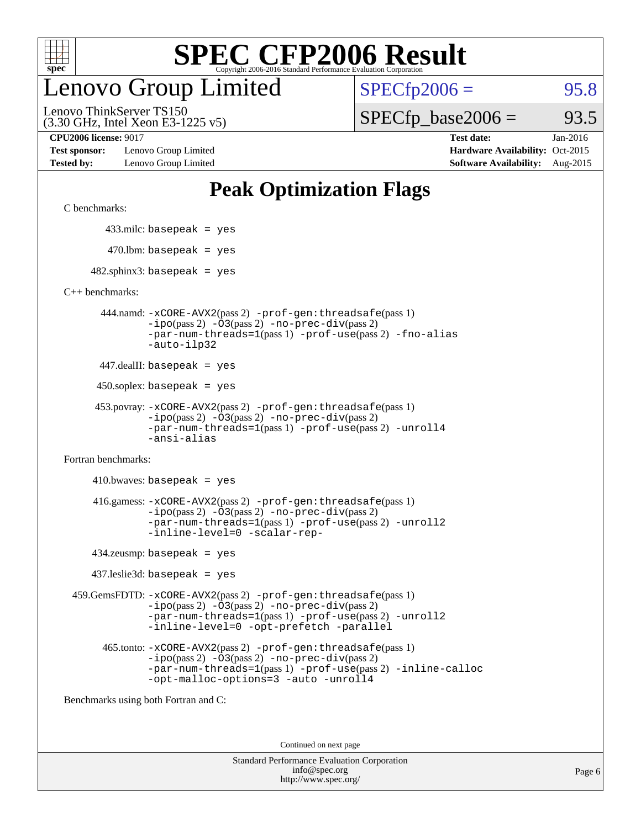

## enovo Group Limited

 $SPECTp2006 =$  95.8

(3.30 GHz, Intel Xeon E3-1225 v5) Lenovo ThinkServer TS150

 $SPECTp\_base2006 = 93.5$ 

**[Test sponsor:](http://www.spec.org/auto/cpu2006/Docs/result-fields.html#Testsponsor)** Lenovo Group Limited **[Hardware Availability:](http://www.spec.org/auto/cpu2006/Docs/result-fields.html#HardwareAvailability)** Oct-2015

**[CPU2006 license:](http://www.spec.org/auto/cpu2006/Docs/result-fields.html#CPU2006license)** 9017 **[Test date:](http://www.spec.org/auto/cpu2006/Docs/result-fields.html#Testdate)** Jan-2016 **[Tested by:](http://www.spec.org/auto/cpu2006/Docs/result-fields.html#Testedby)** Lenovo Group Limited **[Software Availability:](http://www.spec.org/auto/cpu2006/Docs/result-fields.html#SoftwareAvailability)** Aug-2015

## **[Peak Optimization Flags](http://www.spec.org/auto/cpu2006/Docs/result-fields.html#PeakOptimizationFlags)**

[C benchmarks](http://www.spec.org/auto/cpu2006/Docs/result-fields.html#Cbenchmarks):

433.milc: basepeak = yes

 $470.$ lbm: basepeak = yes

 $482$ .sphinx3: basepeak = yes

[C++ benchmarks:](http://www.spec.org/auto/cpu2006/Docs/result-fields.html#CXXbenchmarks)

 444.namd: [-xCORE-AVX2](http://www.spec.org/cpu2006/results/res2016q1/cpu2006-20160125-38869.flags.html#user_peakPASS2_CXXFLAGSPASS2_LDFLAGS444_namd_f-xAVX2_5f5fc0cbe2c9f62c816d3e45806c70d7)(pass 2) [-prof-gen:threadsafe](http://www.spec.org/cpu2006/results/res2016q1/cpu2006-20160125-38869.flags.html#user_peakPASS1_CXXFLAGSPASS1_LDFLAGS444_namd_prof_gen_21a26eb79f378b550acd7bec9fe4467a)(pass 1) [-ipo](http://www.spec.org/cpu2006/results/res2016q1/cpu2006-20160125-38869.flags.html#user_peakPASS2_CXXFLAGSPASS2_LDFLAGS444_namd_f-ipo)(pass 2) [-O3](http://www.spec.org/cpu2006/results/res2016q1/cpu2006-20160125-38869.flags.html#user_peakPASS2_CXXFLAGSPASS2_LDFLAGS444_namd_f-O3)(pass 2) [-no-prec-div](http://www.spec.org/cpu2006/results/res2016q1/cpu2006-20160125-38869.flags.html#user_peakPASS2_CXXFLAGSPASS2_LDFLAGS444_namd_f-no-prec-div)(pass 2) [-par-num-threads=1](http://www.spec.org/cpu2006/results/res2016q1/cpu2006-20160125-38869.flags.html#user_peakPASS1_CXXFLAGSPASS1_LDFLAGS444_namd_par_num_threads_786a6ff141b4e9e90432e998842df6c2)(pass 1) [-prof-use](http://www.spec.org/cpu2006/results/res2016q1/cpu2006-20160125-38869.flags.html#user_peakPASS2_CXXFLAGSPASS2_LDFLAGS444_namd_prof_use_bccf7792157ff70d64e32fe3e1250b55)(pass 2) [-fno-alias](http://www.spec.org/cpu2006/results/res2016q1/cpu2006-20160125-38869.flags.html#user_peakCXXOPTIMIZEOPTIMIZE444_namd_f-no-alias_694e77f6c5a51e658e82ccff53a9e63a) [-auto-ilp32](http://www.spec.org/cpu2006/results/res2016q1/cpu2006-20160125-38869.flags.html#user_peakCXXOPTIMIZE444_namd_f-auto-ilp32)

447.dealII: basepeak = yes

450.soplex: basepeak = yes

```
 453.povray: -xCORE-AVX2(pass 2) -prof-gen:threadsafe(pass 1)
          -ipo(pass 2) -O3(pass 2) -no-prec-div(pass 2)
          -par-num-threads=1(pass 1) -prof-use(pass 2) -unroll4
          -ansi-alias
```
[Fortran benchmarks](http://www.spec.org/auto/cpu2006/Docs/result-fields.html#Fortranbenchmarks):

 $410.bwaves: basepeak = yes$  416.gamess: [-xCORE-AVX2](http://www.spec.org/cpu2006/results/res2016q1/cpu2006-20160125-38869.flags.html#user_peakPASS2_FFLAGSPASS2_LDFLAGS416_gamess_f-xAVX2_5f5fc0cbe2c9f62c816d3e45806c70d7)(pass 2) [-prof-gen:threadsafe](http://www.spec.org/cpu2006/results/res2016q1/cpu2006-20160125-38869.flags.html#user_peakPASS1_FFLAGSPASS1_LDFLAGS416_gamess_prof_gen_21a26eb79f378b550acd7bec9fe4467a)(pass 1)  $-i\text{po}(pass 2) -\text{O3}(pass 2)$  [-no-prec-div](http://www.spec.org/cpu2006/results/res2016q1/cpu2006-20160125-38869.flags.html#user_peakPASS2_FFLAGSPASS2_LDFLAGS416_gamess_f-no-prec-div)(pass 2) [-par-num-threads=1](http://www.spec.org/cpu2006/results/res2016q1/cpu2006-20160125-38869.flags.html#user_peakPASS1_FFLAGSPASS1_LDFLAGS416_gamess_par_num_threads_786a6ff141b4e9e90432e998842df6c2)(pass 1) [-prof-use](http://www.spec.org/cpu2006/results/res2016q1/cpu2006-20160125-38869.flags.html#user_peakPASS2_FFLAGSPASS2_LDFLAGS416_gamess_prof_use_bccf7792157ff70d64e32fe3e1250b55)(pass 2) [-unroll2](http://www.spec.org/cpu2006/results/res2016q1/cpu2006-20160125-38869.flags.html#user_peakOPTIMIZE416_gamess_f-unroll_784dae83bebfb236979b41d2422d7ec2) [-inline-level=0](http://www.spec.org/cpu2006/results/res2016q1/cpu2006-20160125-38869.flags.html#user_peakOPTIMIZE416_gamess_f-inline-level_318d07a09274ad25e8d15dbfaa68ba50) [-scalar-rep-](http://www.spec.org/cpu2006/results/res2016q1/cpu2006-20160125-38869.flags.html#user_peakOPTIMIZE416_gamess_f-disablescalarrep_abbcad04450fb118e4809c81d83c8a1d)

434.zeusmp: basepeak = yes

437.leslie3d: basepeak = yes

 459.GemsFDTD: [-xCORE-AVX2](http://www.spec.org/cpu2006/results/res2016q1/cpu2006-20160125-38869.flags.html#user_peakPASS2_FFLAGSPASS2_LDFLAGS459_GemsFDTD_f-xAVX2_5f5fc0cbe2c9f62c816d3e45806c70d7)(pass 2) [-prof-gen:threadsafe](http://www.spec.org/cpu2006/results/res2016q1/cpu2006-20160125-38869.flags.html#user_peakPASS1_FFLAGSPASS1_LDFLAGS459_GemsFDTD_prof_gen_21a26eb79f378b550acd7bec9fe4467a)(pass 1)  $-i\text{po}(pass 2) -03(pass 2) -no-prec-div(pass 2)$  $-i\text{po}(pass 2) -03(pass 2) -no-prec-div(pass 2)$  $-i\text{po}(pass 2) -03(pass 2) -no-prec-div(pass 2)$ [-par-num-threads=1](http://www.spec.org/cpu2006/results/res2016q1/cpu2006-20160125-38869.flags.html#user_peakPASS1_FFLAGSPASS1_LDFLAGS459_GemsFDTD_par_num_threads_786a6ff141b4e9e90432e998842df6c2)(pass 1) [-prof-use](http://www.spec.org/cpu2006/results/res2016q1/cpu2006-20160125-38869.flags.html#user_peakPASS2_FFLAGSPASS2_LDFLAGS459_GemsFDTD_prof_use_bccf7792157ff70d64e32fe3e1250b55)(pass 2) [-unroll2](http://www.spec.org/cpu2006/results/res2016q1/cpu2006-20160125-38869.flags.html#user_peakOPTIMIZE459_GemsFDTD_f-unroll_784dae83bebfb236979b41d2422d7ec2) [-inline-level=0](http://www.spec.org/cpu2006/results/res2016q1/cpu2006-20160125-38869.flags.html#user_peakOPTIMIZE459_GemsFDTD_f-inline-level_318d07a09274ad25e8d15dbfaa68ba50) [-opt-prefetch](http://www.spec.org/cpu2006/results/res2016q1/cpu2006-20160125-38869.flags.html#user_peakOPTIMIZE459_GemsFDTD_f-opt-prefetch) [-parallel](http://www.spec.org/cpu2006/results/res2016q1/cpu2006-20160125-38869.flags.html#user_peakOPTIMIZE459_GemsFDTD_f-parallel)

 465.tonto: [-xCORE-AVX2](http://www.spec.org/cpu2006/results/res2016q1/cpu2006-20160125-38869.flags.html#user_peakPASS2_FFLAGSPASS2_LDFLAGS465_tonto_f-xAVX2_5f5fc0cbe2c9f62c816d3e45806c70d7)(pass 2) [-prof-gen:threadsafe](http://www.spec.org/cpu2006/results/res2016q1/cpu2006-20160125-38869.flags.html#user_peakPASS1_FFLAGSPASS1_LDFLAGS465_tonto_prof_gen_21a26eb79f378b550acd7bec9fe4467a)(pass 1)  $-i\text{po}(pass 2)$   $-03(pass 2)$   $-no-prec-div(pass 2)$  $-no-prec-div(pass 2)$ [-par-num-threads=1](http://www.spec.org/cpu2006/results/res2016q1/cpu2006-20160125-38869.flags.html#user_peakPASS1_FFLAGSPASS1_LDFLAGS465_tonto_par_num_threads_786a6ff141b4e9e90432e998842df6c2)(pass 1) [-prof-use](http://www.spec.org/cpu2006/results/res2016q1/cpu2006-20160125-38869.flags.html#user_peakPASS2_FFLAGSPASS2_LDFLAGS465_tonto_prof_use_bccf7792157ff70d64e32fe3e1250b55)(pass 2) [-inline-calloc](http://www.spec.org/cpu2006/results/res2016q1/cpu2006-20160125-38869.flags.html#user_peakOPTIMIZE465_tonto_f-inline-calloc) [-opt-malloc-options=3](http://www.spec.org/cpu2006/results/res2016q1/cpu2006-20160125-38869.flags.html#user_peakOPTIMIZE465_tonto_f-opt-malloc-options_13ab9b803cf986b4ee62f0a5998c2238) [-auto](http://www.spec.org/cpu2006/results/res2016q1/cpu2006-20160125-38869.flags.html#user_peakOPTIMIZE465_tonto_f-auto) [-unroll4](http://www.spec.org/cpu2006/results/res2016q1/cpu2006-20160125-38869.flags.html#user_peakOPTIMIZE465_tonto_f-unroll_4e5e4ed65b7fd20bdcd365bec371b81f)

[Benchmarks using both Fortran and C](http://www.spec.org/auto/cpu2006/Docs/result-fields.html#BenchmarksusingbothFortranandC):

Continued on next page